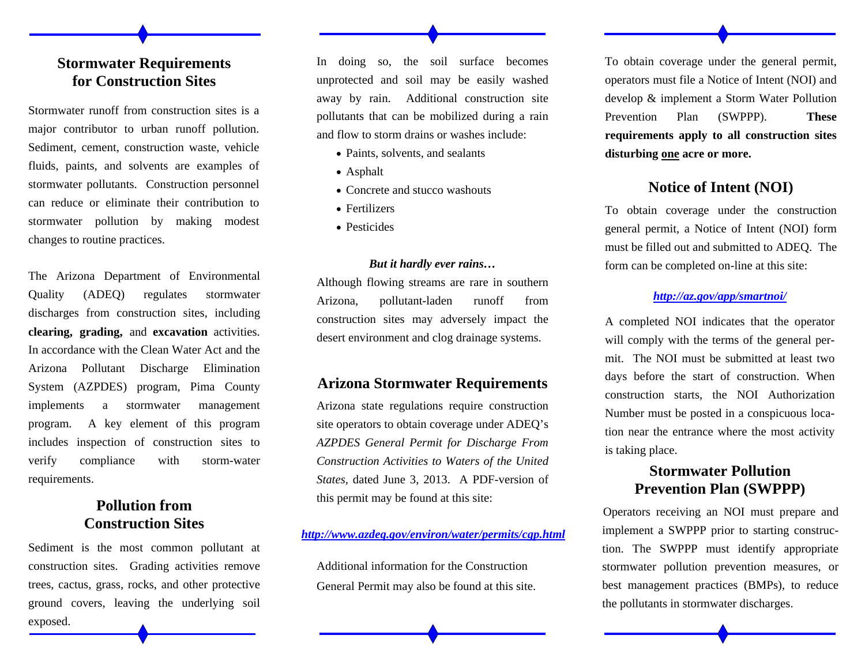# **Stormwater Requirements for Construction Sites**

Stormwater runoff from construction sites is a major contributor to urban runoff pollution. Sediment, cement, construction waste, vehicle fluids, paints, and solvents are examples of stormwater pollutants. Construction personnel can reduce or eliminate their contribution to stormwater pollution by making modest changes to routine practices.

The Arizona Department of Environmental Quality (ADEQ) regulates stormwater discharges from construction sites, including **clearing, grading,** and **excavation** activities. In accordance with the Clean Water Act and the Arizona Pollutant Discharge Elimination System (AZPDES) program, Pima County implements a stormwater management program. A key element of this program includes inspection of construction sites to verify compliance with storm-water requirements.

# **Pollution from Construction Sites**

Sediment is the most common pollutant at construction sites. Grading activities remove trees, cactus, grass, rocks, and other protective ground covers, leaving the underlying soil exposed.

In doing so, the soil surface becomes unprotected and soil may be easily washed away by rain. Additional construction site pollutants that can be mobilized during a rain and flow to storm drains or washes include:

- Paints, solvents, and sealants
- Asphalt
- Concrete and stucco washouts
- Fertilizers
- Pesticides

#### *But it hardly ever rains…*

Although flowing streams are rare in southern Arizona, pollutant-laden runoff from construction sites may adversely impact the desert environment and clog drainage systems.

#### **Arizona Stormwater Requirements**

Arizona state regulations require construction site operators to obtain coverage under ADEQ's *AZPDES General Permit for Discharge From Construction Activities to Waters of the United States,* dated June 3, 2013. A PDF-version of this permit may be found at this site:

#### *http://www.azdeq.gov/environ/water/permits/cgp.html*

Additional information for the Construction General Permit may also be found at this site. To obtain coverage under the general permit, operators must file a Notice of Intent (NOI) and develop & implement a Storm Water Pollution Prevention Plan (SWPPP). **These requirements apply to all construction sites disturbing one acre or more.**

### **Notice of Intent (NOI)**

To obtain coverage under the construction general permit, a Notice of Intent (NOI) form must be filled out and submitted to ADEQ. The form can be completed on-line at this site:

#### *http://az.gov/app/smartnoi/*

A completed NOI indicates that the operator will comply with the terms of the general permit. The NOI must be submitted at least two days before the start of construction. When construction starts, the NOI Authorization Number must be posted in a conspicuous location near the entrance where the most activity is taking place.

# **Stormwater Pollution Prevention Plan (SWPPP)**

Operators receiving an NOI must prepare and implement a SWPPP prior to starting construction. The SWPPP must identify appropriate stormwater pollution prevention measures, or best management practices (BMPs), to reduce the pollutants in stormwater discharges.